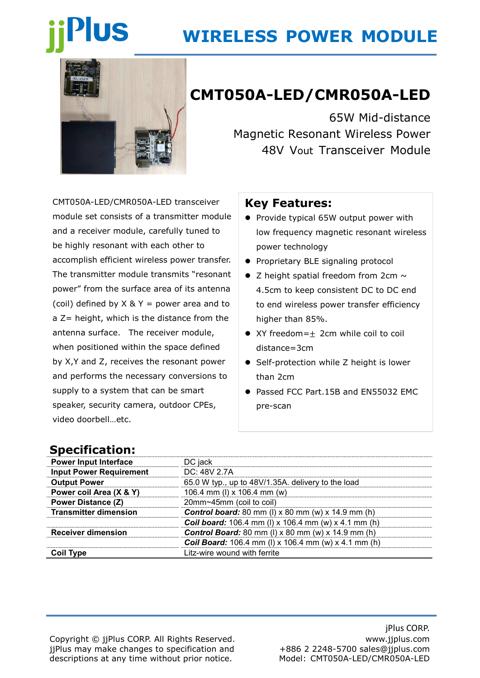# **US**

# **WIRELESS POWER MODULE**



# **CMT050A-LED/CMR050A-LED**

65W Mid-distance Magnetic Resonant Wireless Power 48V Vout Transceiver Module

CMT050A-LED/CMR050A-LED transceiver module set consists of a transmitter module and a receiver module, carefully tuned to be highly resonant with each other to accomplish efficient wireless power transfer. The transmitter module transmits "resonant power" from the surface area of its antenna (coil) defined by  $X \& Y =$  power area and to a Z= height, which is the distance from the antenna surface. The receiver module, when positioned within the space defined by X,Y and Z, receives the resonant power and performs the necessary conversions to supply to a system that can be smart speaker, security camera, outdoor CPEs, video doorbell…etc.

### **Key Features:**

- Provide typical 65W output power with low frequency magnetic resonant wireless power technology
- Proprietary BLE signaling protocol
- $\bullet$  Z height spatial freedom from 2cm  $\sim$ 4.5cm to keep consistent DC to DC end to end wireless power transfer efficiency higher than 85%.
- XY freedom=+ 2cm while coil to coil distance=3cm
- Self-protection while Z height is lower than 2cm
- Passed FCC Part.15B and EN55032 EMC pre-scan

## **Specification:**

| <b>Power Input Interface</b>   | DC jack                                                       |  |
|--------------------------------|---------------------------------------------------------------|--|
| <b>Input Power Requirement</b> | DC: 48V 2.7A                                                  |  |
| <b>Output Power</b>            | 65.0 W typ., up to 48V/1.35A. delivery to the load            |  |
| Power coil Area (X & Y)        | 106.4 mm (I) x 106.4 mm (w)                                   |  |
| <b>Power Distance (Z)</b>      | 20mm~45mm (coil to coil)                                      |  |
| <b>Transmitter dimension</b>   | <b>Control board:</b> 80 mm (I) $x$ 80 mm (w) $x$ 14.9 mm (h) |  |
|                                | <b>Coil board:</b> 106.4 mm (I) x 106.4 mm (w) x 4.1 mm (h)   |  |
| <b>Receiver dimension</b>      | <b>Control Board:</b> 80 mm (I) $x$ 80 mm (w) $x$ 14.9 mm (h) |  |
|                                | <b>Coil Board:</b> 106.4 mm (I) x 106.4 mm (w) x 4.1 mm (h)   |  |
| <b>Coil Type</b>               | Litz-wire wound with ferrite                                  |  |

Copyright © jjPlus CORP. All Rights Reserved. jjPlus may make changes to specification and descriptions at any time without prior notice.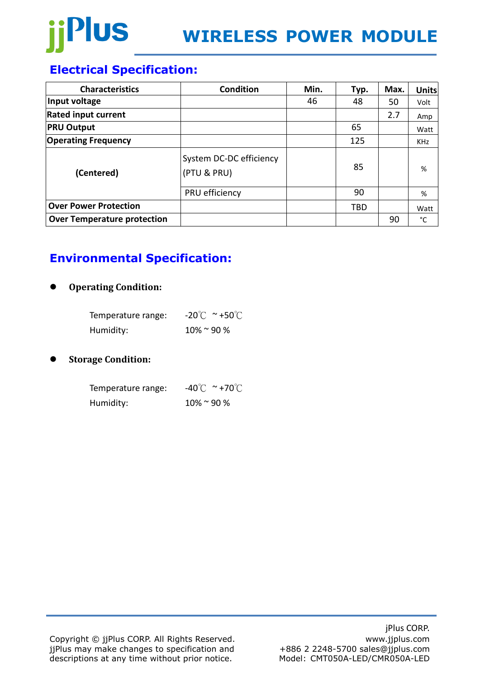

# **Electrical Specification:**

| <b>Characteristics</b>             | <b>Condition</b>                       | Min. | Typ. | Max. | <b>Units</b> |
|------------------------------------|----------------------------------------|------|------|------|--------------|
| Input voltage                      |                                        | 46   | 48   | 50   | Volt         |
| <b>Rated input current</b>         |                                        |      |      | 2.7  | Amp          |
| <b>PRU Output</b>                  |                                        |      | 65   |      | Watt         |
| <b>Operating Frequency</b>         |                                        |      | 125  |      | <b>KHz</b>   |
| (Centered)                         | System DC-DC efficiency<br>(PTU & PRU) |      | 85   |      | %            |
|                                    | PRU efficiency                         |      | 90   |      | %            |
| <b>Over Power Protection</b>       |                                        |      | TBD  |      | Watt         |
| <b>Over Temperature protection</b> |                                        |      |      | 90   | °C           |

# **Environmental Specification:**

#### ⚫ **Operating Condition:**

| Temperature range: | $-20^{\circ}$ C ~ +50 $^{\circ}$ C |
|--------------------|------------------------------------|
| Humidity:          | $10\%$ ~ 90 %                      |

#### ⚫ **Storage Condition:**

| Temperature range: | $-40^{\circ}$ C ~ +70 $^{\circ}$ C |
|--------------------|------------------------------------|
| Humidity:          | $10\%$ ~ 90 %                      |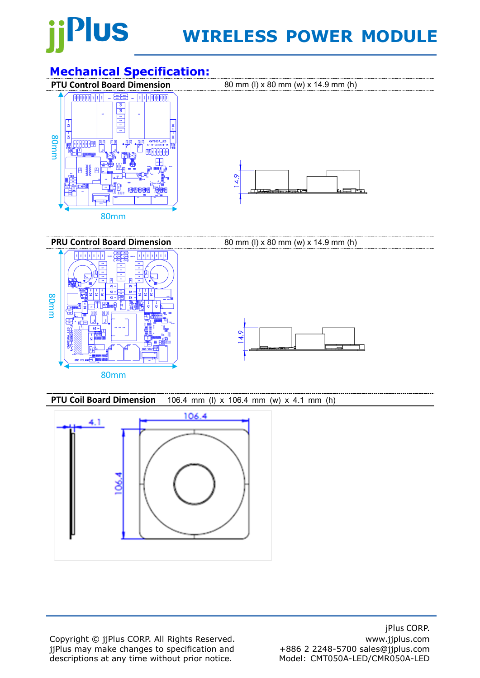

# **WIRELESS POWER MODULE**

# **Mechanical Specification:**<br>**PTU Control Board Dimension**



**PRU Control Board Dimension** 80 mm (I) x 80 mm (w) x 14.9 mm (h) **TERRITE** 80mm $14.9$ 80mm

**PTU Coil Board Dimension** 106.4 mm (l) x 106.4 mm (w) x 4.1 mm (h)



Copyright © jjPlus CORP. All Rights Reserved. jjPlus may make changes to specification and descriptions at any time without prior notice.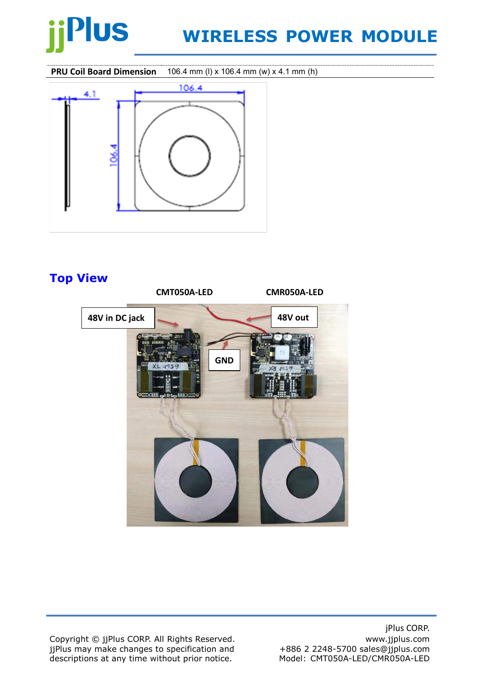# Plus

# **WIRELESS POWER MODULE**

**PRU Coil Board Dimension** 106.4 mm (l) x 106.4 mm (w) x 4.1 mm (h)



# **Top View**



Copyright © jjPlus CORP. All Rights Reserved. jjPlus may make changes to specification and descriptions at any time without prior notice.

jPlus CORP. www.jjplus.com +886 2 2248-5700 sales@jjplus.com Model: CMT050A-LED/CMR050A-LED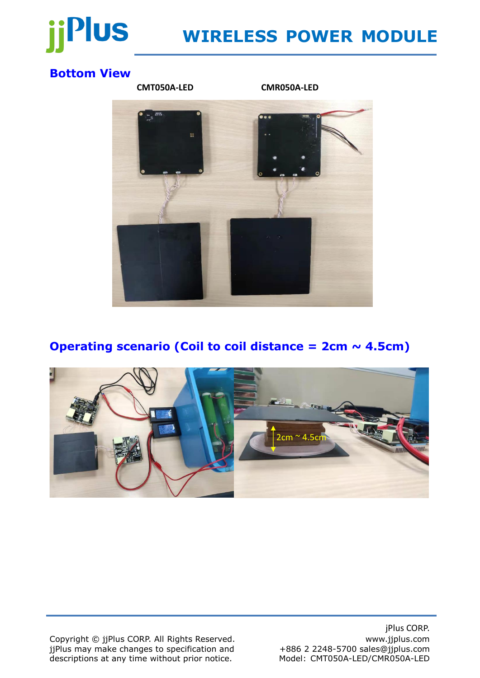

# **WIRELESS POWER MODULE**

# **Bottom View**



## **Operating scenario (Coil to coil distance = 2cm ~ 4.5cm)**



Copyright © jjPlus CORP. All Rights Reserved. jjPlus may make changes to specification and descriptions at any time without prior notice.

jPlus CORP. www.jjplus.com +886 2 2248-5700 sales@jjplus.com Model: CMT050A-LED/CMR050A-LED